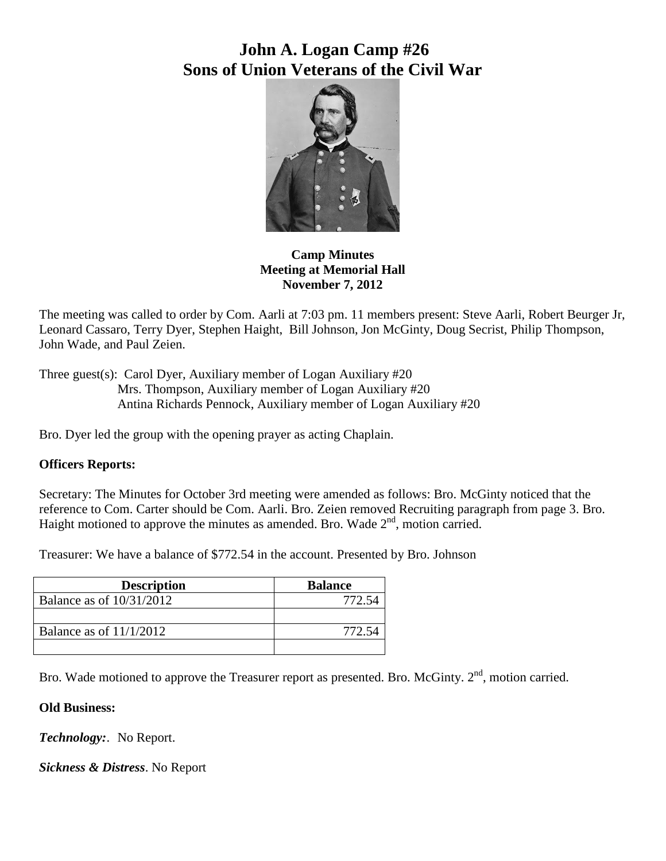# **John A. Logan Camp #26 Sons of Union Veterans of the Civil War**



## **Camp Minutes Meeting at Memorial Hall November 7, 2012**

The meeting was called to order by Com. Aarli at 7:03 pm. 11 members present: Steve Aarli, Robert Beurger Jr, Leonard Cassaro, Terry Dyer, Stephen Haight, Bill Johnson, Jon McGinty, Doug Secrist, Philip Thompson, John Wade, and Paul Zeien.

Three guest(s): Carol Dyer, Auxiliary member of Logan Auxiliary #20 Mrs. Thompson, Auxiliary member of Logan Auxiliary #20 Antina Richards Pennock, Auxiliary member of Logan Auxiliary #20

Bro. Dyer led the group with the opening prayer as acting Chaplain.

# **Officers Reports:**

Secretary: The Minutes for October 3rd meeting were amended as follows: Bro. McGinty noticed that the reference to Com. Carter should be Com. Aarli. Bro. Zeien removed Recruiting paragraph from page 3. Bro. Haight motioned to approve the minutes as amended. Bro. Wade  $2<sup>nd</sup>$ , motion carried.

Treasurer: We have a balance of \$772.54 in the account. Presented by Bro. Johnson

| <b>Description</b>         | <b>Balance</b> |
|----------------------------|----------------|
| Balance as of $10/31/2012$ |                |
|                            |                |
| Balance as of $11/1/2012$  |                |
|                            |                |

Bro. Wade motioned to approve the Treasurer report as presented. Bro. McGinty.  $2<sup>nd</sup>$ , motion carried.

# **Old Business:**

*Technology:*. No Report.

*Sickness & Distress*. No Report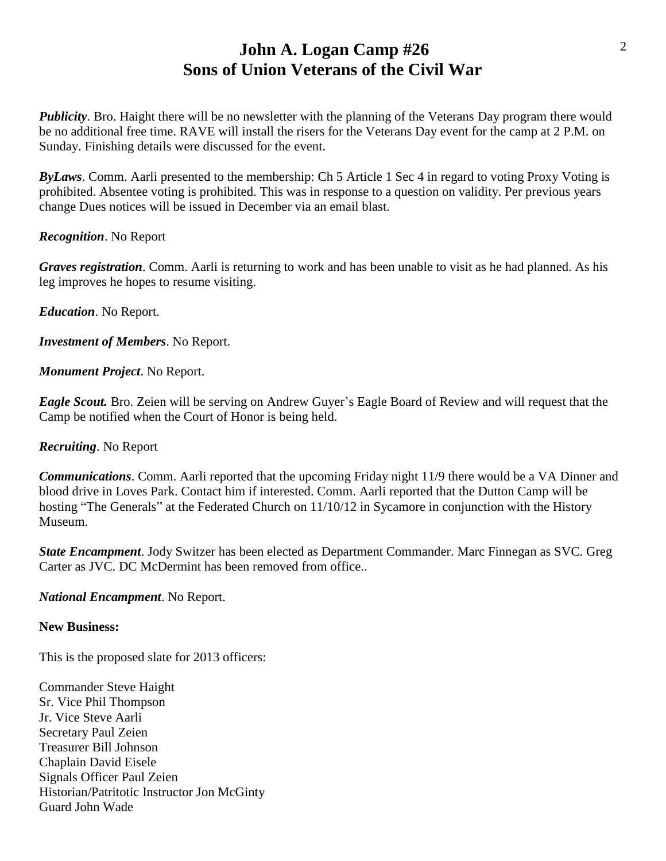# **John A. Logan Camp #26 Sons of Union Veterans of the Civil War**

*Publicity*. Bro. Haight there will be no newsletter with the planning of the Veterans Day program there would be no additional free time. RAVE will install the risers for the Veterans Day event for the camp at 2 P.M. on Sunday. Finishing details were discussed for the event.

*ByLaws*. Comm. Aarli presented to the membership: Ch 5 Article 1 Sec 4 in regard to voting Proxy Voting is prohibited. Absentee voting is prohibited. This was in response to a question on validity. Per previous years change Dues notices will be issued in December via an email blast.

#### *Recognition*. No Report

*Graves registration*. Comm. Aarli is returning to work and has been unable to visit as he had planned. As his leg improves he hopes to resume visiting.

*Education*. No Report.

*Investment of Members*. No Report.

*Monument Project*. No Report.

*Eagle Scout.* Bro. Zeien will be serving on Andrew Guyer's Eagle Board of Review and will request that the Camp be notified when the Court of Honor is being held.

*Recruiting*. No Report

*Communications*. Comm. Aarli reported that the upcoming Friday night 11/9 there would be a VA Dinner and blood drive in Loves Park. Contact him if interested. Comm. Aarli reported that the Dutton Camp will be hosting "The Generals" at the Federated Church on  $11/10/12$  in Sycamore in conjunction with the History Museum.

*State Encampment*. Jody Switzer has been elected as Department Commander. Marc Finnegan as SVC. Greg Carter as JVC. DC McDermint has been removed from office..

*National Encampment*. No Report.

#### **New Business:**

This is the proposed slate for 2013 officers:

Commander Steve Haight Sr. Vice Phil Thompson Jr. Vice Steve Aarli Secretary Paul Zeien Treasurer Bill Johnson Chaplain David Eisele Signals Officer Paul Zeien Historian/Patritotic Instructor Jon McGinty Guard John Wade